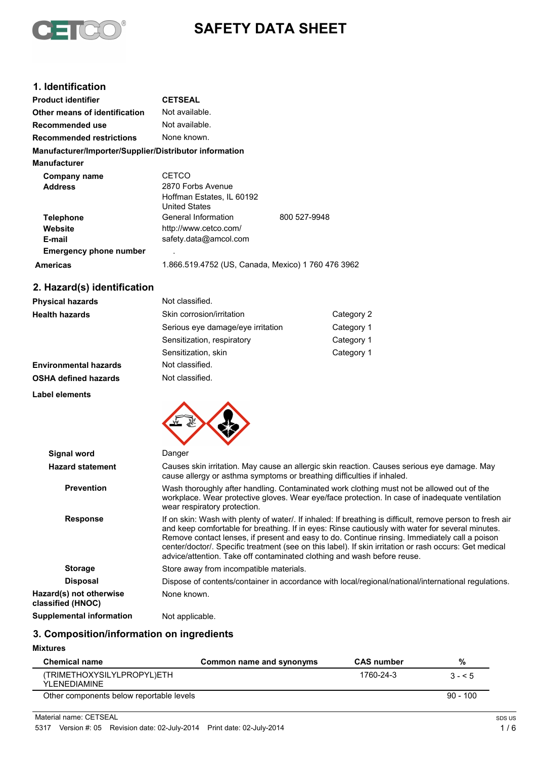

# **SAFETY DATA SHEET**

# **1. Identification**

| <b>Product identifier</b>                              | <b>CETSEAL</b>                                                                  |              |
|--------------------------------------------------------|---------------------------------------------------------------------------------|--------------|
| Other means of identification                          | Not available.                                                                  |              |
| Recommended use                                        | Not available.                                                                  |              |
| <b>Recommended restrictions</b>                        | None known.                                                                     |              |
| Manufacturer/Importer/Supplier/Distributor information |                                                                                 |              |
| <b>Manufacturer</b>                                    |                                                                                 |              |
| Company name<br><b>Address</b>                         | CETCO<br>2870 Forbs Avenue<br>Hoffman Estates, IL 60192<br><b>United States</b> |              |
| <b>Telephone</b><br>Website<br>E-mail                  | General Information<br>http://www.cetco.com/<br>safety.data@amcol.com           | 800 527-9948 |
| <b>Emergency phone number</b>                          |                                                                                 |              |
| <b>Americas</b>                                        | 1.866.519.4752 (US, Canada, Mexico) 1 760 476 3962                              |              |

# **2. Hazard(s) identification**

| <b>Physical hazards</b>      | Not classified.                   |            |
|------------------------------|-----------------------------------|------------|
| <b>Health hazards</b>        | Skin corrosion/irritation         | Category 2 |
|                              | Serious eye damage/eye irritation | Category 1 |
|                              | Sensitization, respiratory        | Category 1 |
|                              | Sensitization, skin               | Category 1 |
| <b>Environmental hazards</b> | Not classified.                   |            |
| <b>OSHA defined hazards</b>  | Not classified.                   |            |
|                              |                                   |            |

#### **Label elements**



| <b>Signal word</b>                           | Danger                                                                                                                                                                                                                                                                                                                                                                                                                                                                                              |
|----------------------------------------------|-----------------------------------------------------------------------------------------------------------------------------------------------------------------------------------------------------------------------------------------------------------------------------------------------------------------------------------------------------------------------------------------------------------------------------------------------------------------------------------------------------|
| <b>Hazard statement</b>                      | Causes skin irritation. May cause an allergic skin reaction. Causes serious eye damage. May<br>cause allergy or asthma symptoms or breathing difficulties if inhaled.                                                                                                                                                                                                                                                                                                                               |
| <b>Prevention</b>                            | Wash thoroughly after handling. Contaminated work clothing must not be allowed out of the<br>workplace. Wear protective gloves. Wear eye/face protection. In case of inadequate ventilation<br>wear respiratory protection.                                                                                                                                                                                                                                                                         |
| <b>Response</b>                              | If on skin: Wash with plenty of water/. If inhaled: If breathing is difficult, remove person to fresh air<br>and keep comfortable for breathing. If in eyes: Rinse cautiously with water for several minutes.<br>Remove contact lenses, if present and easy to do. Continue rinsing. Immediately call a poison<br>center/doctor/. Specific treatment (see on this label). If skin irritation or rash occurs: Get medical<br>advice/attention. Take off contaminated clothing and wash before reuse. |
| <b>Storage</b>                               | Store away from incompatible materials.                                                                                                                                                                                                                                                                                                                                                                                                                                                             |
| <b>Disposal</b>                              | Dispose of contents/container in accordance with local/regional/national/international regulations.                                                                                                                                                                                                                                                                                                                                                                                                 |
| Hazard(s) not otherwise<br>classified (HNOC) | None known.                                                                                                                                                                                                                                                                                                                                                                                                                                                                                         |
| Supplemental information                     | Not applicable.                                                                                                                                                                                                                                                                                                                                                                                                                                                                                     |

# **3. Composition/information on ingredients**

#### **Mixtures**

| <b>Chemical name</b>                        | Common name and synonyms | <b>CAS</b> number | %          |
|---------------------------------------------|--------------------------|-------------------|------------|
| (TRIMETHOXYSILYLPROPYL)ETH<br>YI FNFDIAMINF |                          | 1760-24-3         | $3 - 5$    |
| Other components below reportable levels    |                          |                   | $90 - 100$ |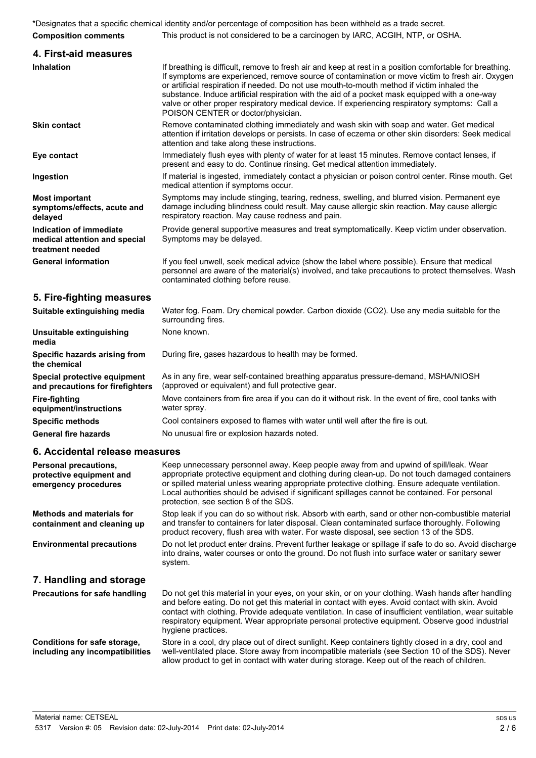|                                                                              | *Designates that a specific chemical identity and/or percentage of composition has been withheld as a trade secret.                                                                                                                                                                                                                                                                                                                                                                                                                                  |
|------------------------------------------------------------------------------|------------------------------------------------------------------------------------------------------------------------------------------------------------------------------------------------------------------------------------------------------------------------------------------------------------------------------------------------------------------------------------------------------------------------------------------------------------------------------------------------------------------------------------------------------|
| <b>Composition comments</b>                                                  | This product is not considered to be a carcinogen by IARC, ACGIH, NTP, or OSHA.                                                                                                                                                                                                                                                                                                                                                                                                                                                                      |
| 4. First-aid measures                                                        |                                                                                                                                                                                                                                                                                                                                                                                                                                                                                                                                                      |
| <b>Inhalation</b>                                                            | If breathing is difficult, remove to fresh air and keep at rest in a position comfortable for breathing.<br>If symptoms are experienced, remove source of contamination or move victim to fresh air. Oxygen<br>or artificial respiration if needed. Do not use mouth-to-mouth method if victim inhaled the<br>substance. Induce artificial respiration with the aid of a pocket mask equipped with a one-way<br>valve or other proper respiratory medical device. If experiencing respiratory symptoms: Call a<br>POISON CENTER or doctor/physician. |
| <b>Skin contact</b>                                                          | Remove contaminated clothing immediately and wash skin with soap and water. Get medical<br>attention if irritation develops or persists. In case of eczema or other skin disorders: Seek medical<br>attention and take along these instructions.                                                                                                                                                                                                                                                                                                     |
| Eye contact                                                                  | Immediately flush eyes with plenty of water for at least 15 minutes. Remove contact lenses, if<br>present and easy to do. Continue rinsing. Get medical attention immediately.                                                                                                                                                                                                                                                                                                                                                                       |
| Ingestion                                                                    | If material is ingested, immediately contact a physician or poison control center. Rinse mouth. Get<br>medical attention if symptoms occur.                                                                                                                                                                                                                                                                                                                                                                                                          |
| <b>Most important</b><br>symptoms/effects, acute and<br>delayed              | Symptoms may include stinging, tearing, redness, swelling, and blurred vision. Permanent eye<br>damage including blindness could result. May cause allergic skin reaction. May cause allergic<br>respiratory reaction. May cause redness and pain.                                                                                                                                                                                                                                                                                                   |
| Indication of immediate<br>medical attention and special<br>treatment needed | Provide general supportive measures and treat symptomatically. Keep victim under observation.<br>Symptoms may be delayed.                                                                                                                                                                                                                                                                                                                                                                                                                            |
| <b>General information</b>                                                   | If you feel unwell, seek medical advice (show the label where possible). Ensure that medical<br>personnel are aware of the material(s) involved, and take precautions to protect themselves. Wash<br>contaminated clothing before reuse.                                                                                                                                                                                                                                                                                                             |
| 5. Fire-fighting measures                                                    |                                                                                                                                                                                                                                                                                                                                                                                                                                                                                                                                                      |
| Suitable extinguishing media                                                 | Water fog. Foam. Dry chemical powder. Carbon dioxide (CO2). Use any media suitable for the<br>surrounding fires.                                                                                                                                                                                                                                                                                                                                                                                                                                     |
| The accelerate to a continuous de la contrata                                | Nano known                                                                                                                                                                                                                                                                                                                                                                                                                                                                                                                                           |

|                                                                  | surrounung mes.                                                                                                                           |
|------------------------------------------------------------------|-------------------------------------------------------------------------------------------------------------------------------------------|
| Unsuitable extinguishing<br>media                                | None known.                                                                                                                               |
| Specific hazards arising from<br>the chemical                    | During fire, gases hazardous to health may be formed.                                                                                     |
| Special protective equipment<br>and precautions for firefighters | As in any fire, wear self-contained breathing apparatus pressure-demand, MSHA/NIOSH<br>(approved or equivalent) and full protective gear. |
| Fire-fighting<br>equipment/instructions                          | Move containers from fire area if you can do it without risk. In the event of fire, cool tanks with<br>water spray.                       |
| <b>Specific methods</b>                                          | Cool containers exposed to flames with water until well after the fire is out.                                                            |
| <b>General fire hazards</b>                                      | No unusual fire or explosion hazards noted.                                                                                               |
|                                                                  |                                                                                                                                           |

## **6. Accidental release measures**

| Personal precautions,<br>protective equipment and<br>emergency procedures | Keep unnecessary personnel away. Keep people away from and upwind of spill/leak. Wear<br>appropriate protective equipment and clothing during clean-up. Do not touch damaged containers<br>or spilled material unless wearing appropriate protective clothing. Ensure adequate ventilation.<br>Local authorities should be advised if significant spillages cannot be contained. For personal<br>protection, see section 8 of the SDS.     |
|---------------------------------------------------------------------------|--------------------------------------------------------------------------------------------------------------------------------------------------------------------------------------------------------------------------------------------------------------------------------------------------------------------------------------------------------------------------------------------------------------------------------------------|
| <b>Methods and materials for</b><br>containment and cleaning up           | Stop leak if you can do so without risk. Absorb with earth, sand or other non-combustible material<br>and transfer to containers for later disposal. Clean contaminated surface thoroughly. Following<br>product recovery, flush area with water. For waste disposal, see section 13 of the SDS.                                                                                                                                           |
| <b>Environmental precautions</b>                                          | Do not let product enter drains. Prevent further leakage or spillage if safe to do so. Avoid discharge<br>into drains, water courses or onto the ground. Do not flush into surface water or sanitary sewer<br>system.                                                                                                                                                                                                                      |
| 7. Handling and storage                                                   |                                                                                                                                                                                                                                                                                                                                                                                                                                            |
| <b>Precautions for safe handling</b>                                      | Do not get this material in your eyes, on your skin, or on your clothing. Wash hands after handling<br>and before eating. Do not get this material in contact with eyes. Avoid contact with skin. Avoid<br>contact with clothing. Provide adequate ventilation. In case of insufficient ventilation, wear suitable<br>respiratory equipment. Wear appropriate personal protective equipment. Observe good industrial<br>hygiene practices. |
| Conditions for safe storage,<br>including any incompatibilities           | Store in a cool, dry place out of direct sunlight. Keep containers tightly closed in a dry, cool and<br>well-ventilated place. Store away from incompatible materials (see Section 10 of the SDS). Never<br>allow product to get in contact with water during storage. Keep out of the reach of children.                                                                                                                                  |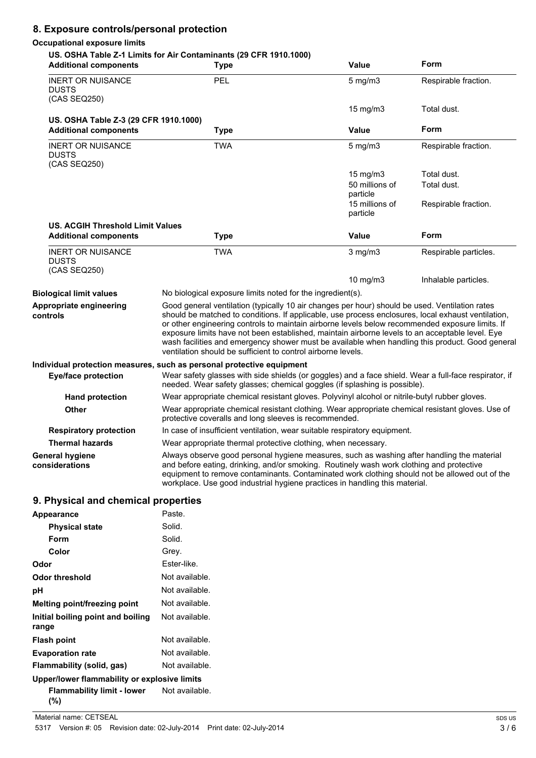# **8. Exposure controls/personal protection**

#### **Occupational exposure limits**

### **US. OSHA Table Z-1 Limits for Air Contaminants (29 CFR 1910.1000)**

| <b>Additional components</b>                                                                                                                                                                                     | סווא וטוס עבן בחוות שטוונטים ואז וטו פווויום ו-LA טועוס ווא<br><b>Type</b>                                                                                                                                                                                                                                                                                                                                                                                                                                                                                                    | <b>Value</b>               | Form                  |  |
|------------------------------------------------------------------------------------------------------------------------------------------------------------------------------------------------------------------|-------------------------------------------------------------------------------------------------------------------------------------------------------------------------------------------------------------------------------------------------------------------------------------------------------------------------------------------------------------------------------------------------------------------------------------------------------------------------------------------------------------------------------------------------------------------------------|----------------------------|-----------------------|--|
| <b>INERT OR NUISANCE</b><br><b>DUSTS</b><br>(CAS SEQ250)                                                                                                                                                         | PEL                                                                                                                                                                                                                                                                                                                                                                                                                                                                                                                                                                           | $5$ mg/m $3$               | Respirable fraction.  |  |
|                                                                                                                                                                                                                  |                                                                                                                                                                                                                                                                                                                                                                                                                                                                                                                                                                               | 15 mg/m $3$                | Total dust.           |  |
| US. OSHA Table Z-3 (29 CFR 1910.1000)                                                                                                                                                                            |                                                                                                                                                                                                                                                                                                                                                                                                                                                                                                                                                                               |                            |                       |  |
| <b>Additional components</b>                                                                                                                                                                                     | <b>Type</b>                                                                                                                                                                                                                                                                                                                                                                                                                                                                                                                                                                   | <b>Value</b>               | Form                  |  |
| <b>INERT OR NUISANCE</b><br><b>DUSTS</b><br>(CAS SEQ250)                                                                                                                                                         | <b>TWA</b>                                                                                                                                                                                                                                                                                                                                                                                                                                                                                                                                                                    | $5$ mg/m $3$               | Respirable fraction.  |  |
|                                                                                                                                                                                                                  |                                                                                                                                                                                                                                                                                                                                                                                                                                                                                                                                                                               | 15 mg/m $3$                | Total dust.           |  |
|                                                                                                                                                                                                                  |                                                                                                                                                                                                                                                                                                                                                                                                                                                                                                                                                                               | 50 millions of             | Total dust.           |  |
|                                                                                                                                                                                                                  |                                                                                                                                                                                                                                                                                                                                                                                                                                                                                                                                                                               | particle                   |                       |  |
|                                                                                                                                                                                                                  |                                                                                                                                                                                                                                                                                                                                                                                                                                                                                                                                                                               | 15 millions of<br>particle | Respirable fraction.  |  |
| <b>US. ACGIH Threshold Limit Values</b>                                                                                                                                                                          |                                                                                                                                                                                                                                                                                                                                                                                                                                                                                                                                                                               |                            |                       |  |
| <b>Additional components</b>                                                                                                                                                                                     | <b>Type</b>                                                                                                                                                                                                                                                                                                                                                                                                                                                                                                                                                                   | <b>Value</b>               | Form                  |  |
| <b>INERT OR NUISANCE</b><br><b>DUSTS</b><br>(CAS SEQ250)                                                                                                                                                         | <b>TWA</b>                                                                                                                                                                                                                                                                                                                                                                                                                                                                                                                                                                    | $3$ mg/m $3$               | Respirable particles. |  |
|                                                                                                                                                                                                                  |                                                                                                                                                                                                                                                                                                                                                                                                                                                                                                                                                                               | 10 mg/m3                   | Inhalable particles.  |  |
| <b>Biological limit values</b>                                                                                                                                                                                   | No biological exposure limits noted for the ingredient(s).                                                                                                                                                                                                                                                                                                                                                                                                                                                                                                                    |                            |                       |  |
| Appropriate engineering<br>controls                                                                                                                                                                              | Good general ventilation (typically 10 air changes per hour) should be used. Ventilation rates<br>should be matched to conditions. If applicable, use process enclosures, local exhaust ventilation,<br>or other engineering controls to maintain airborne levels below recommended exposure limits. If<br>exposure limits have not been established, maintain airborne levels to an acceptable level. Eye<br>wash facilities and emergency shower must be available when handling this product. Good general<br>ventilation should be sufficient to control airborne levels. |                            |                       |  |
|                                                                                                                                                                                                                  | Individual protection measures, such as personal protective equipment                                                                                                                                                                                                                                                                                                                                                                                                                                                                                                         |                            |                       |  |
| Wear safety glasses with side shields (or goggles) and a face shield. Wear a full-face respirator, if<br><b>Eye/face protection</b><br>needed. Wear safety glasses; chemical goggles (if splashing is possible). |                                                                                                                                                                                                                                                                                                                                                                                                                                                                                                                                                                               |                            |                       |  |
| <b>Hand protection</b>                                                                                                                                                                                           | Wear appropriate chemical resistant gloves. Polyvinyl alcohol or nitrile-butyl rubber gloves.                                                                                                                                                                                                                                                                                                                                                                                                                                                                                 |                            |                       |  |
| Other                                                                                                                                                                                                            | Wear appropriate chemical resistant clothing. Wear appropriate chemical resistant gloves. Use of<br>protective coveralls and long sleeves is recommended.                                                                                                                                                                                                                                                                                                                                                                                                                     |                            |                       |  |
| <b>Respiratory protection</b>                                                                                                                                                                                    | In case of insufficient ventilation, wear suitable respiratory equipment.                                                                                                                                                                                                                                                                                                                                                                                                                                                                                                     |                            |                       |  |
| <b>Thermal hazards</b>                                                                                                                                                                                           | Wear appropriate thermal protective clothing, when necessary.                                                                                                                                                                                                                                                                                                                                                                                                                                                                                                                 |                            |                       |  |
| <b>General hygiene</b><br>considerations                                                                                                                                                                         | Always observe good personal hygiene measures, such as washing after handling the material<br>and before eating, drinking, and/or smoking. Routinely wash work clothing and protective<br>equipment to remove contaminants. Contaminated work clothing should not be allowed out of the<br>workplace. Use good industrial hygiene practices in handling this material.                                                                                                                                                                                                        |                            |                       |  |
| <b>Q.</b> Physical and chamical proporting                                                                                                                                                                       |                                                                                                                                                                                                                                                                                                                                                                                                                                                                                                                                                                               |                            |                       |  |

# **9. Physical and chemical properties**

| <b>Appearance</b>                            | Paste.         |
|----------------------------------------------|----------------|
| <b>Physical state</b>                        | Solid.         |
| Form                                         | Solid.         |
| Color                                        | Grey.          |
| Odor                                         | Ester-like.    |
| Odor threshold                               | Not available. |
| рH                                           | Not available. |
| Melting point/freezing point                 | Not available. |
| Initial boiling point and boiling<br>range   | Not available. |
| <b>Flash point</b>                           | Not available. |
| <b>Evaporation rate</b>                      | Not available. |
| Flammability (solid, gas)                    | Not available. |
| Upper/lower flammability or explosive limits |                |
| Flammability limit - lower<br>(%)            | Not available. |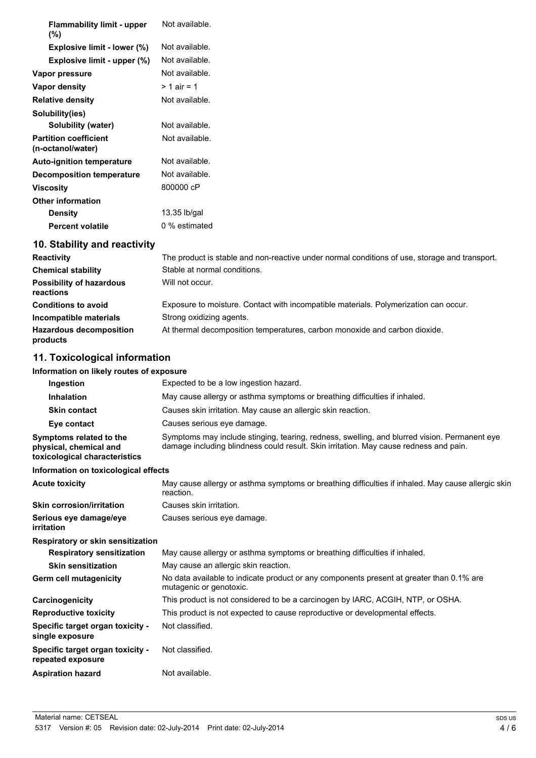| <b>Flammability limit - upper</b><br>(%)          | Not available. |
|---------------------------------------------------|----------------|
| Explosive limit - lower (%)                       | Not available. |
| Explosive limit - upper (%)                       | Not available. |
| Vapor pressure                                    | Not available. |
| <b>Vapor density</b>                              | $> 1$ air = 1  |
| <b>Relative density</b>                           | Not available. |
| Solubility(ies)                                   |                |
| <b>Solubility (water)</b>                         | Not available. |
| <b>Partition coefficient</b><br>(n-octanol/water) | Not available. |
| <b>Auto-ignition temperature</b>                  | Not available. |
| Decomposition temperature                         | Not available. |
| <b>Viscosity</b>                                  | 800000 cP      |
| <b>Other information</b>                          |                |
| <b>Density</b>                                    | 13.35 lb/gal   |
| <b>Percent volatile</b>                           | 0 % estimated  |
| 10. Stability and reactivity                      |                |

| <b>Reactivity</b>                            | The product is stable and non-reactive under normal conditions of use, storage and transport. |
|----------------------------------------------|-----------------------------------------------------------------------------------------------|
| <b>Chemical stability</b>                    | Stable at normal conditions.                                                                  |
| <b>Possibility of hazardous</b><br>reactions | Will not occur.                                                                               |
| <b>Conditions to avoid</b>                   | Exposure to moisture. Contact with incompatible materials. Polymerization can occur.          |
| Incompatible materials                       | Strong oxidizing agents.                                                                      |
| <b>Hazardous decomposition</b><br>products   | At thermal decomposition temperatures, carbon monoxide and carbon dioxide.                    |

# **11. Toxicological information**

#### **Information on likely routes of exposure**

| Information on likely routes of exposure                                           |                                                                                                                                                                                       |  |  |
|------------------------------------------------------------------------------------|---------------------------------------------------------------------------------------------------------------------------------------------------------------------------------------|--|--|
| Ingestion                                                                          | Expected to be a low ingestion hazard.                                                                                                                                                |  |  |
| <b>Inhalation</b>                                                                  | May cause allergy or asthma symptoms or breathing difficulties if inhaled.                                                                                                            |  |  |
| <b>Skin contact</b>                                                                | Causes skin irritation. May cause an allergic skin reaction.                                                                                                                          |  |  |
| Eye contact                                                                        | Causes serious eye damage.                                                                                                                                                            |  |  |
| Symptoms related to the<br>physical, chemical and<br>toxicological characteristics | Symptoms may include stinging, tearing, redness, swelling, and blurred vision. Permanent eye<br>damage including blindness could result. Skin irritation. May cause redness and pain. |  |  |
| Information on toxicological effects                                               |                                                                                                                                                                                       |  |  |
| <b>Acute toxicity</b>                                                              | May cause allergy or asthma symptoms or breathing difficulties if inhaled. May cause allergic skin<br>reaction.                                                                       |  |  |
| <b>Skin corrosion/irritation</b>                                                   | Causes skin irritation.                                                                                                                                                               |  |  |
| Serious eye damage/eye<br>irritation                                               | Causes serious eye damage.                                                                                                                                                            |  |  |
| <b>Respiratory or skin sensitization</b>                                           |                                                                                                                                                                                       |  |  |
| <b>Respiratory sensitization</b>                                                   | May cause allergy or asthma symptoms or breathing difficulties if inhaled.                                                                                                            |  |  |
| <b>Skin sensitization</b>                                                          | May cause an allergic skin reaction.                                                                                                                                                  |  |  |
| Germ cell mutagenicity                                                             | No data available to indicate product or any components present at greater than 0.1% are<br>mutagenic or genotoxic.                                                                   |  |  |
| Carcinogenicity                                                                    | This product is not considered to be a carcinogen by IARC, ACGIH, NTP, or OSHA.                                                                                                       |  |  |
| <b>Reproductive toxicity</b>                                                       | This product is not expected to cause reproductive or developmental effects.                                                                                                          |  |  |
| Specific target organ toxicity -<br>single exposure                                | Not classified.                                                                                                                                                                       |  |  |
| Specific target organ toxicity -<br>repeated exposure                              | Not classified.                                                                                                                                                                       |  |  |
| <b>Aspiration hazard</b>                                                           | Not available.                                                                                                                                                                        |  |  |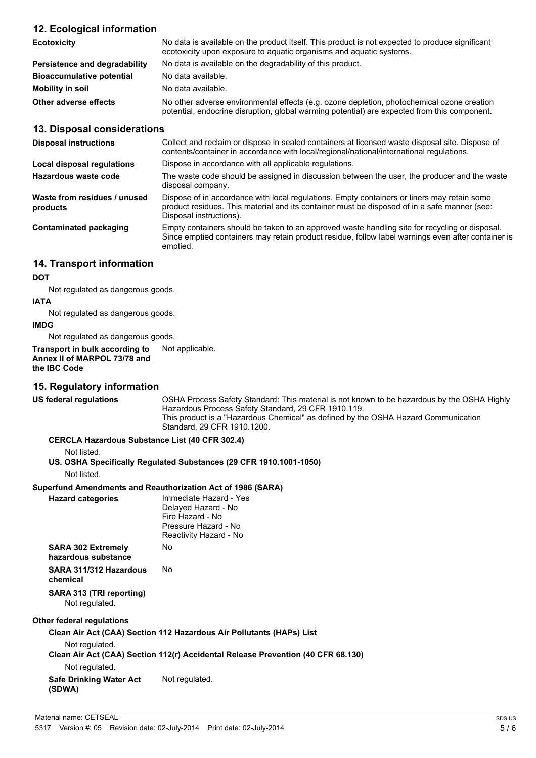### **12. Ecological information**

| <b>Ecotoxicity</b>               | No data is available on the product itself. This product is not expected to produce significant<br>ecotoxicity upon exposure to aquatic organisms and aquatic systems.                     |  |
|----------------------------------|--------------------------------------------------------------------------------------------------------------------------------------------------------------------------------------------|--|
| Persistence and degradability    | No data is available on the degradability of this product.                                                                                                                                 |  |
| <b>Bioaccumulative potential</b> | No data available.                                                                                                                                                                         |  |
| Mobility in soil                 | No data available.                                                                                                                                                                         |  |
| Other adverse effects            | No other adverse environmental effects (e.g. ozone depletion, photochemical ozone creation<br>potential, endocrine disruption, global warming potential) are expected from this component. |  |

#### **13. Disposal considerations**

| <b>Disposal instructions</b>             | Collect and reclaim or dispose in sealed containers at licensed waste disposal site. Dispose of<br>contents/container in accordance with local/regional/national/international regulations.                            |
|------------------------------------------|------------------------------------------------------------------------------------------------------------------------------------------------------------------------------------------------------------------------|
| Local disposal regulations               | Dispose in accordance with all applicable regulations.                                                                                                                                                                 |
| Hazardous waste code                     | The waste code should be assigned in discussion between the user, the producer and the waste<br>disposal company.                                                                                                      |
| Waste from residues / unused<br>products | Dispose of in accordance with local regulations. Empty containers or liners may retain some<br>product residues. This material and its container must be disposed of in a safe manner (see:<br>Disposal instructions). |
| Contaminated packaging                   | Empty containers should be taken to an approved waste handling site for recycling or disposal.<br>Since emptied containers may retain product residue, follow label warnings even after container is<br>emptied.       |

### **14. Transport information**

#### **DOT**

Not regulated as dangerous goods.

#### **IATA**

Not regulated as dangerous goods.

#### **IMDG**

Not regulated as dangerous goods.

**Transport in bulk according to** Not applicable. **Annex II of MARPOL 73/78 and the IBC Code**

#### **15. Regulatory information**

**US federal regulations** OSHA Process Safety Standard: This material is not known to be hazardous by the OSHA Highly Hazardous Process Safety Standard, 29 CFR 1910.119. This product is a "Hazardous Chemical" as defined by the OSHA Hazard Communication Standard, 29 CFR 1910.1200.

#### **CERCLA Hazardous Substance List (40 CFR 302.4)**

Not listed.

**US. OSHA Specifically Regulated Substances (29 CFR 1910.1001-1050)**

Not listed.

# **Superfund Amendments and Reauthorization Act of 1986 (SARA)**

**Hazard categories** Immediate Hazard - Yes Delayed Hazard - No Fire Hazard - No Pressure Hazard - No Reactivity Hazard - No **SARA 302 Extremely hazardous substance** No **SARA 311/312 Hazardous chemical** No **SARA 313 (TRI reporting)**

Not regulated.

# **Other federal regulations**

**Clean Air Act (CAA) Section 112 Hazardous Air Pollutants (HAPs) List** Not regulated. **Clean Air Act (CAA) Section 112(r) Accidental Release Prevention (40 CFR 68.130)** Not regulated. **Safe Drinking Water Act (SDWA)** Not regulated.